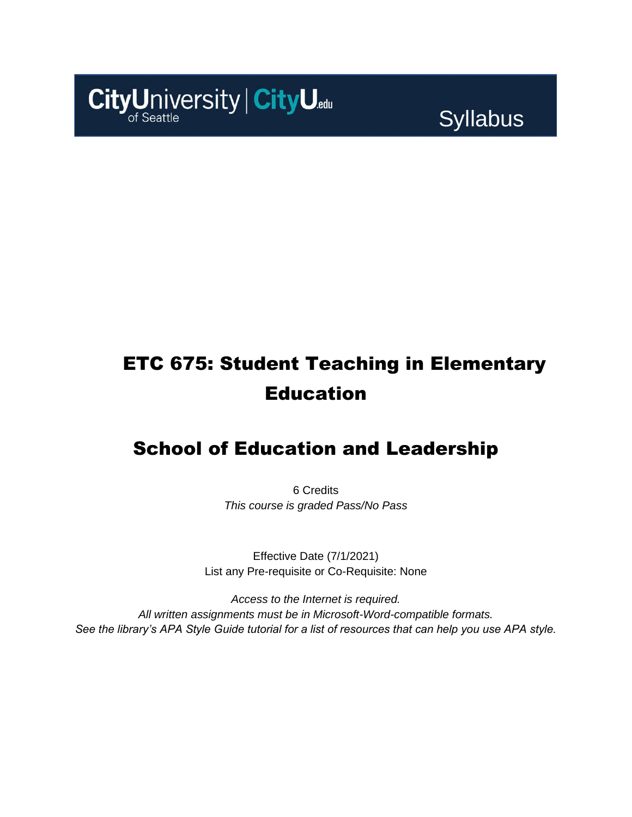

**Syllabus** 

# ETC 675: Student Teaching in Elementary Education

### School of Education and Leadership

6 Credits *This course is graded Pass/No Pass*

Effective Date (7/1/2021) List any Pre-requisite or Co-Requisite: None

*Access to the Internet is required. All written assignments must be in Microsoft-Word-compatible formats. See the library's APA Style Guide tutorial for a list of resources that can help you use APA style.*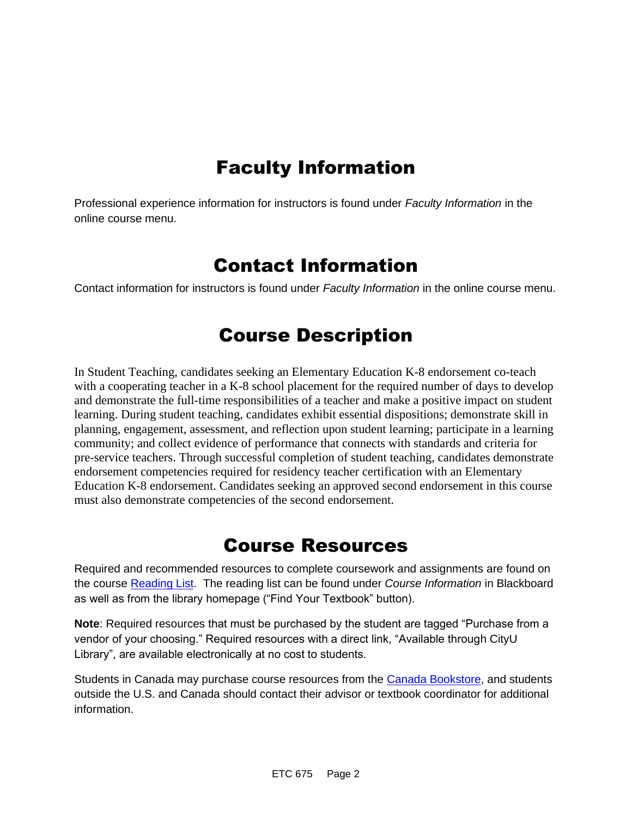## Faculty Information

Professional experience information for instructors is found under *Faculty Information* in the online course menu.

### Contact Information

Contact information for instructors is found under *Faculty Information* in the online course menu.

## Course Description

In Student Teaching, candidates seeking an Elementary Education K-8 endorsement co-teach with a cooperating teacher in a K-8 school placement for the required number of days to develop and demonstrate the full-time responsibilities of a teacher and make a positive impact on student learning. During student teaching, candidates exhibit essential dispositions; demonstrate skill in planning, engagement, assessment, and reflection upon student learning; participate in a learning community; and collect evidence of performance that connects with standards and criteria for pre-service teachers. Through successful completion of student teaching, candidates demonstrate endorsement competencies required for residency teacher certification with an Elementary Education K-8 endorsement. Candidates seeking an approved second endorsement in this course must also demonstrate competencies of the second endorsement.

### Course Resources

Required and recommended resources to complete coursework and assignments are found on the course [Reading List.](https://cityu.alma.exlibrisgroup.com/leganto/login?auth=SAML) The reading list can be found under *Course Information* in Blackboard as well as from the library homepage ("Find Your Textbook" button).

**Note**: Required resources that must be purchased by the student are tagged "Purchase from a vendor of your choosing." Required resources with a direct link, "Available through CityU Library", are available electronically at no cost to students.

Students in Canada may purchase course resources from the [Canada Bookstore,](https://www.cityubookstore.ca/index.asp) and students outside the U.S. and Canada should contact their advisor or textbook coordinator for additional information.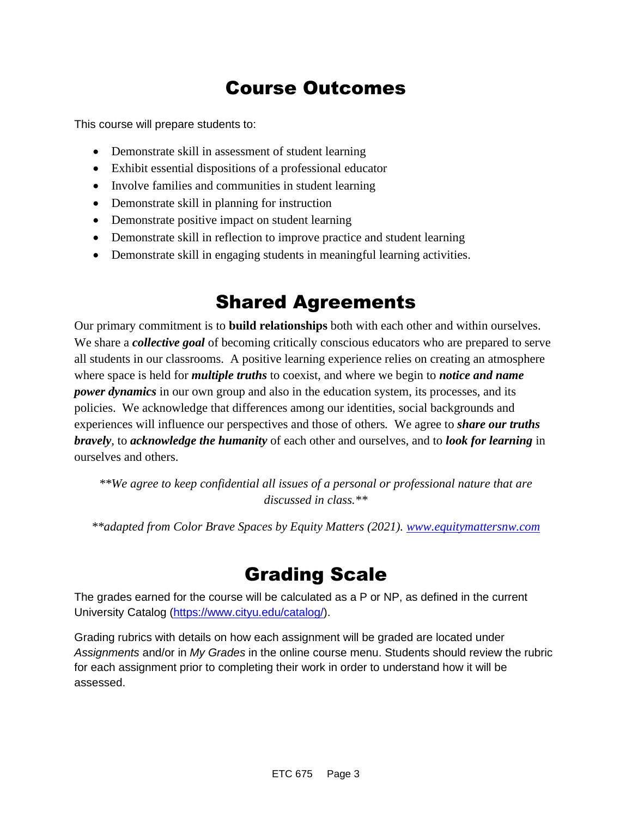## Course Outcomes

This course will prepare students to:

- Demonstrate skill in assessment of student learning
- Exhibit essential dispositions of a professional educator
- Involve families and communities in student learning
- Demonstrate skill in planning for instruction
- Demonstrate positive impact on student learning
- Demonstrate skill in reflection to improve practice and student learning
- Demonstrate skill in engaging students in meaningful learning activities.

### Shared Agreements

Our primary commitment is to **build relationships** both with each other and within ourselves. We share a *collective goal* of becoming critically conscious educators who are prepared to serve all students in our classrooms. A positive learning experience relies on creating an atmosphere where space is held for *multiple truths* to coexist, and where we begin to *notice and name power dynamics* in our own group and also in the education system, its processes, and its policies. We acknowledge that differences among our identities, social backgrounds and experiences will influence our perspectives and those of others*.* We agree to *share our truths bravely*, to *acknowledge the humanity* of each other and ourselves, and to *look for learning* in ourselves and others.

*\*\*We agree to keep confidential all issues of a personal or professional nature that are discussed in class.\*\**

*\*\*adapted from Color Brave Spaces by Equity Matters (2021). [www.equitymattersnw.com](http://www.equitymattersnw.com/)*

### Grading Scale

The grades earned for the course will be calculated as a P or NP, as defined in the current University Catalog [\(https://www.cityu.edu/catalog/\)](https://www.cityu.edu/catalog/).

Grading rubrics with details on how each assignment will be graded are located under *Assignments* and/or in *My Grades* in the online course menu. Students should review the rubric for each assignment prior to completing their work in order to understand how it will be assessed.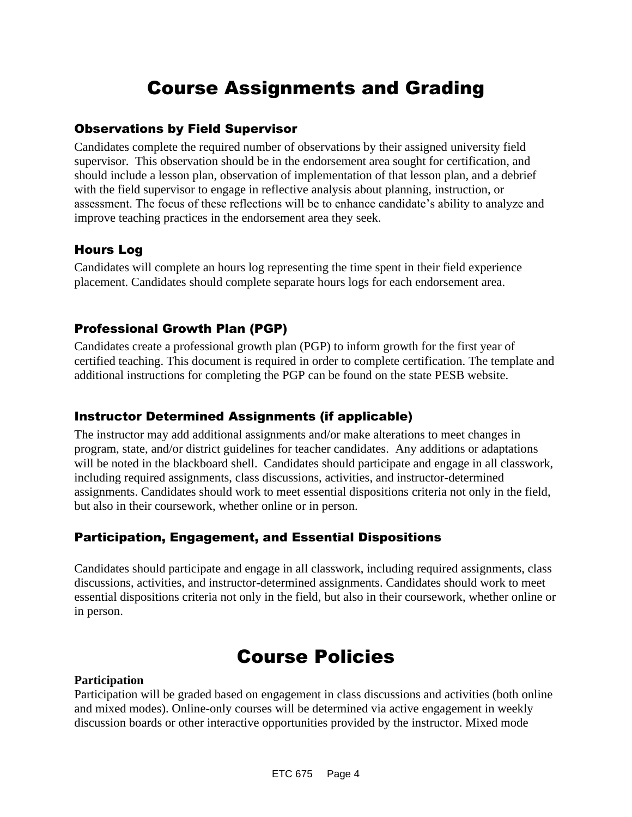## Course Assignments and Grading

#### Observations by Field Supervisor

Candidates complete the required number of observations by their assigned university field supervisor. This observation should be in the endorsement area sought for certification, and should include a lesson plan, observation of implementation of that lesson plan, and a debrief with the field supervisor to engage in reflective analysis about planning, instruction, or assessment. The focus of these reflections will be to enhance candidate's ability to analyze and improve teaching practices in the endorsement area they seek.

### Hours Log

Candidates will complete an hours log representing the time spent in their field experience placement. Candidates should complete separate hours logs for each endorsement area.

### Professional Growth Plan (PGP)

Candidates create a professional growth plan (PGP) to inform growth for the first year of certified teaching. This document is required in order to complete certification. The template and additional instructions for completing the PGP can be found on the state PESB website.

### Instructor Determined Assignments (if applicable)

The instructor may add additional assignments and/or make alterations to meet changes in program, state, and/or district guidelines for teacher candidates. Any additions or adaptations will be noted in the blackboard shell. Candidates should participate and engage in all classwork, including required assignments, class discussions, activities, and instructor-determined assignments. Candidates should work to meet essential dispositions criteria not only in the field, but also in their coursework, whether online or in person.

### Participation, Engagement, and Essential Dispositions

Candidates should participate and engage in all classwork, including required assignments, class discussions, activities, and instructor-determined assignments. Candidates should work to meet essential dispositions criteria not only in the field, but also in their coursework, whether online or in person.

### Course Policies

#### **Participation**

Participation will be graded based on engagement in class discussions and activities (both online and mixed modes). Online-only courses will be determined via active engagement in weekly discussion boards or other interactive opportunities provided by the instructor. Mixed mode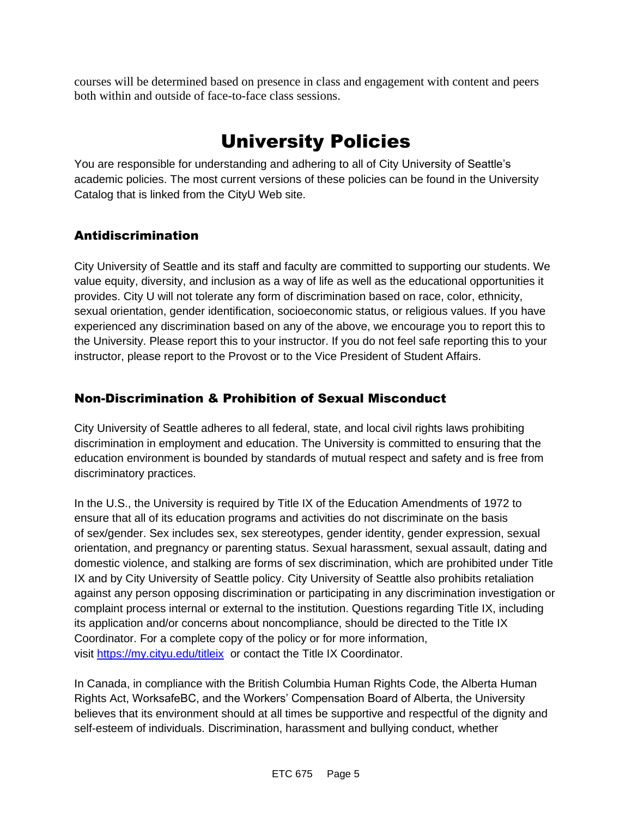courses will be determined based on presence in class and engagement with content and peers both within and outside of face-to-face class sessions.

## University Policies

You are responsible for understanding and adhering to all of City University of Seattle's academic policies. The most current versions of these policies can be found in the University Catalog that is linked from the CityU Web site.

### Antidiscrimination

City University of Seattle and its staff and faculty are committed to supporting our students. We value equity, diversity, and inclusion as a way of life as well as the educational opportunities it provides. City U will not tolerate any form of discrimination based on race, color, ethnicity, sexual orientation, gender identification, socioeconomic status, or religious values. If you have experienced any discrimination based on any of the above, we encourage you to report this to the University. Please report this to your instructor. If you do not feel safe reporting this to your instructor, please report to the Provost or to the Vice President of Student Affairs.

### Non-Discrimination & Prohibition of Sexual Misconduct

City University of Seattle adheres to all federal, state, and local civil rights laws prohibiting discrimination in employment and education. The University is committed to ensuring that the education environment is bounded by standards of mutual respect and safety and is free from discriminatory practices.

In the U.S., the University is required by Title IX of the Education Amendments of 1972 to ensure that all of its education programs and activities do not discriminate on the basis of sex/gender. Sex includes sex, sex stereotypes, gender identity, gender expression, sexual orientation, and pregnancy or parenting status. Sexual harassment, sexual assault, dating and domestic violence, and stalking are forms of sex discrimination, which are prohibited under Title IX and by City University of Seattle policy. City University of Seattle also prohibits retaliation against any person opposing discrimination or participating in any discrimination investigation or complaint process internal or external to the institution. Questions regarding Title IX, including its application and/or concerns about noncompliance, should be directed to the Title IX Coordinator. For a complete copy of the policy or for more information, visit [https://my.cityu.edu/titleix](https://nam11.safelinks.protection.outlook.com/?url=https%3A%2F%2Fmy.cityu.edu%2Ftitleix&data=04%7C01%7Claker%40cityu.edu%7Cbc558c70c10340dbaa2408d9172365a0%7Cb3fa96d9f5154662add763d854e39e63%7C1%7C0%7C637566263054321964%7CUnknown%7CTWFpbGZsb3d8eyJWIjoiMC4wLjAwMDAiLCJQIjoiV2luMzIiLCJBTiI6Ik1haWwiLCJXVCI6Mn0%3D%7C1000&sdata=GX0hgfxN2OMKFTKjD04gqvwwyU44mfnCmEdCtsEzab0%3D&reserved=0) or contact the Title IX Coordinator.

In Canada, in compliance with the British Columbia Human Rights Code, the Alberta Human Rights Act, WorksafeBC, and the Workers' Compensation Board of Alberta, the University believes that its environment should at all times be supportive and respectful of the dignity and self-esteem of individuals. Discrimination, harassment and bullying conduct, whether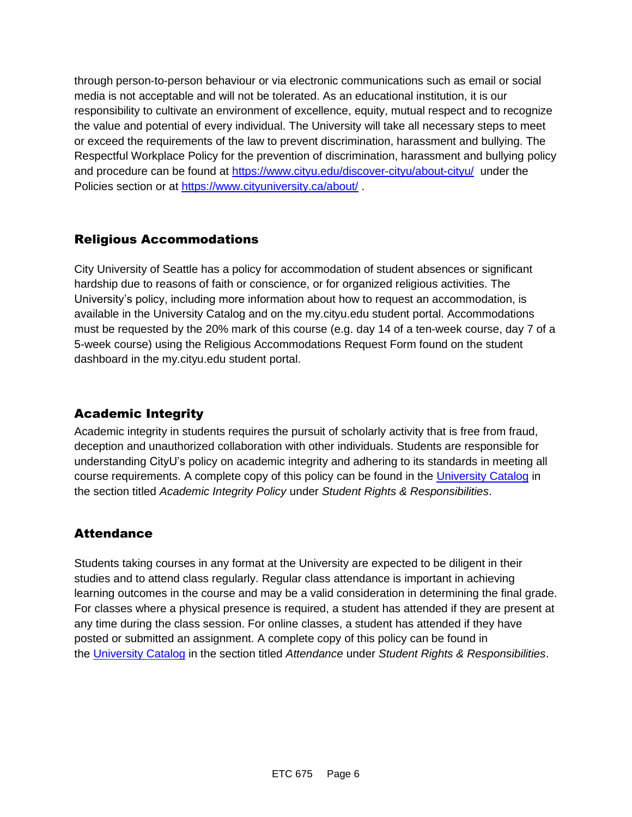through person-to-person behaviour or via electronic communications such as email or social media is not acceptable and will not be tolerated. As an educational institution, it is our responsibility to cultivate an environment of excellence, equity, mutual respect and to recognize the value and potential of every individual. The University will take all necessary steps to meet or exceed the requirements of the law to prevent discrimination, harassment and bullying. The Respectful Workplace Policy for the prevention of discrimination, harassment and bullying policy and procedure can be found at [https://www.cityu.edu/discover-cityu/about-cityu/](https://nam11.safelinks.protection.outlook.com/?url=https%3A%2F%2Fwww.cityu.edu%2Fdiscover-cityu%2Fabout-cityu%2F&data=04%7C01%7Claker%40cityu.edu%7Cbc558c70c10340dbaa2408d9172365a0%7Cb3fa96d9f5154662add763d854e39e63%7C1%7C0%7C637566263054331957%7CUnknown%7CTWFpbGZsb3d8eyJWIjoiMC4wLjAwMDAiLCJQIjoiV2luMzIiLCJBTiI6Ik1haWwiLCJXVCI6Mn0%3D%7C1000&sdata=7Q6QoqwuNLfeOJPewViWSeIwRIBy%2BoqDOiP8xSHYm78%3D&reserved=0) under the Policies section or at [https://www.cityuniversity.ca/about/](https://nam11.safelinks.protection.outlook.com/?url=https%3A%2F%2Fwww.cityuniversity.ca%2Fabout%2F&data=04%7C01%7Claker%40cityu.edu%7Cbc558c70c10340dbaa2408d9172365a0%7Cb3fa96d9f5154662add763d854e39e63%7C1%7C0%7C637566263054331957%7CUnknown%7CTWFpbGZsb3d8eyJWIjoiMC4wLjAwMDAiLCJQIjoiV2luMzIiLCJBTiI6Ik1haWwiLCJXVCI6Mn0%3D%7C1000&sdata=TX6bXEiU0CC6hC1mrTnKpuJywbR06qAj7RMu8QC4RUA%3D&reserved=0)

### Religious Accommodations

City University of Seattle has a policy for accommodation of student absences or significant hardship due to reasons of faith or conscience, or for organized religious activities. The University's policy, including more information about how to request an accommodation, is available in the University Catalog and on the my.cityu.edu student portal. Accommodations must be requested by the 20% mark of this course (e.g. day 14 of a ten-week course, day 7 of a 5-week course) using the Religious Accommodations Request Form found on the student dashboard in the my.cityu.edu student portal.

### Academic Integrity

Academic integrity in students requires the pursuit of scholarly activity that is free from fraud, deception and unauthorized collaboration with other individuals. Students are responsible for understanding CityU's policy on academic integrity and adhering to its standards in meeting all course requirements. A complete copy of this policy can be found in the [University Catalog](https://nam11.safelinks.protection.outlook.com/?url=http%3A%2F%2Fwww.cityu.edu%2Fcatalog%2F&data=04%7C01%7Claker%40cityu.edu%7Cbc558c70c10340dbaa2408d9172365a0%7Cb3fa96d9f5154662add763d854e39e63%7C1%7C0%7C637566263054341952%7CUnknown%7CTWFpbGZsb3d8eyJWIjoiMC4wLjAwMDAiLCJQIjoiV2luMzIiLCJBTiI6Ik1haWwiLCJXVCI6Mn0%3D%7C1000&sdata=aL6fsSyLtVzJgdrlE9PtZXb%2F3H6wCdrvPcw4zOoEYTI%3D&reserved=0) in the section titled *Academic Integrity Policy* under *Student Rights & Responsibilities*.

### **Attendance**

Students taking courses in any format at the University are expected to be diligent in their studies and to attend class regularly. Regular class attendance is important in achieving learning outcomes in the course and may be a valid consideration in determining the final grade. For classes where a physical presence is required, a student has attended if they are present at any time during the class session. For online classes, a student has attended if they have posted or submitted an assignment. A complete copy of this policy can be found in the [University Catalog](https://nam11.safelinks.protection.outlook.com/?url=http%3A%2F%2Fwww.cityu.edu%2Fcatalog%2F&data=04%7C01%7Claker%40cityu.edu%7Cbc558c70c10340dbaa2408d9172365a0%7Cb3fa96d9f5154662add763d854e39e63%7C1%7C0%7C637566263054341952%7CUnknown%7CTWFpbGZsb3d8eyJWIjoiMC4wLjAwMDAiLCJQIjoiV2luMzIiLCJBTiI6Ik1haWwiLCJXVCI6Mn0%3D%7C1000&sdata=aL6fsSyLtVzJgdrlE9PtZXb%2F3H6wCdrvPcw4zOoEYTI%3D&reserved=0) in the section titled *Attendance* under *Student Rights & Responsibilities*.